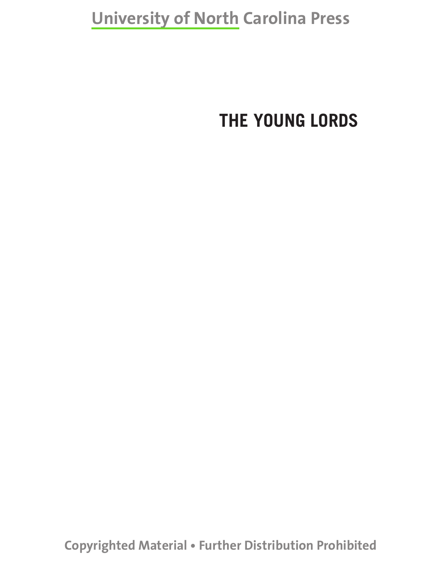# **THE YOUNG LORDS**

**Copyrighted Material • Further Distribution Prohibited**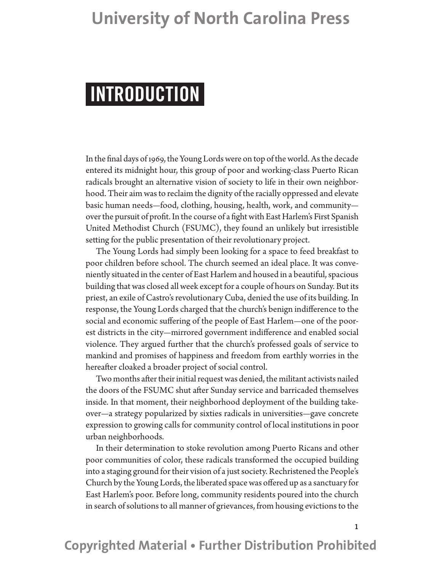# INTRODUCTION

In the final days of 1969, the Young Lords were on top of the world. As the decade entered its midnight hour, this group of poor and working-class Puerto Rican radicals brought an alternative vision of society to life in their own neighborhood. Their aim was to reclaim the dignity of the racially oppressed and elevate basic human needs—food, clothing, housing, health, work, and community over the pursuit of profit. In the course of a fight with East Harlem's First Spanish United Methodist Church (FSUMC), they found an unlikely but irresistible setting for the public presentation of their revolutionary project.

The Young Lords had simply been looking for a space to feed breakfast to poor children before school. The church seemed an ideal place. It was conveniently situated in the center of East Harlem and housed in a beautiful, spacious building that was closed all week except for a couple of hours on Sunday. But its priest, an exile of Castro's revolutionary Cuba, denied the use of its building. In response, the Young Lords charged that the church's benign indifference to the social and economic suffering of the people of East Harlem—one of the poorest districts in the city—mirrored government indifference and enabled social violence. They argued further that the church's professed goals of service to mankind and promises of happiness and freedom from earthly worries in the hereafter cloaked a broader project of social control.

Two months after their initial request was denied, the militant activists nailed the doors of the FSUMC shut after Sunday service and barricaded themselves inside. In that moment, their neighborhood deployment of the building takeover—a strategy popularized by sixties radicals in universities—gave concrete expression to growing calls for community control of local institutions in poor urban neighborhoods.

In their determination to stoke revolution among Puerto Ricans and other poor communities of color, these radicals transformed the occupied building into a staging ground for their vision of a just society. Rechristened the People's Church by the Young Lords, the liberated space was offered up as a sanctuary for East Harlem's poor. Before long, community residents poured into the church in search of solutions to all manner of grievances, from housing evictions to the

1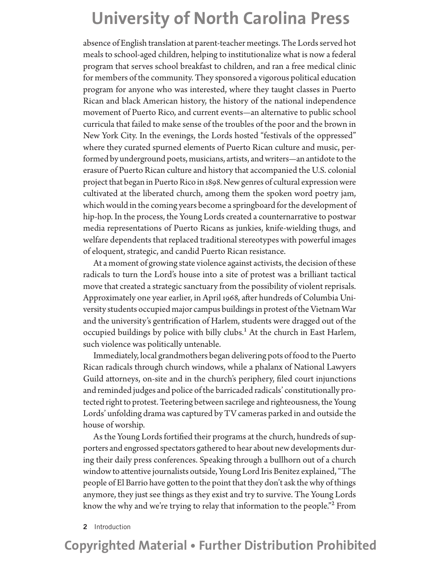absence of English translation at parent-teacher meetings. The Lords served hot meals to school-aged children, helping to institutionalize what is now a federal program that serves school breakfast to children, and ran a free medical clinic for members of the community. They sponsored a vigorous political education program for anyone who was interested, where they taught classes in Puerto Rican and black American history, the history of the national independence movement of Puerto Rico, and current events—an alternative to public school curricula that failed to make sense of the troubles of the poor and the brown in New York City. In the evenings, the Lords hosted "festivals of the oppressed" where they curated spurned elements of Puerto Rican culture and music, performed by underground poets, musicians, artists, and writers—an antidote to the erasure of Puerto Rican culture and history that accompanied the U.S. colonial project that began in Puerto Rico in 1898. New genres of cultural expression were cultivated at the liberated church, among them the spoken word poetry jam, which would in the coming years become a springboard for the development of hip-hop. In the process, the Young Lords created a counternarrative to postwar media representations of Puerto Ricans as junkies, knife-wielding thugs, and welfare dependents that replaced traditional stereotypes with powerful images of eloquent, strategic, and candid Puerto Rican resistance.

At a moment of growing state violence against activists, the decision of these radicals to turn the Lord's house into a site of protest was a brilliant tactical move that created a strategic sanctuary from the possibility of violent reprisals. Approximately one year earlier, in April 1968, after hundreds of Columbia University students occupied major campus buildings in protest of the Vietnam War and the university's gentrification of Harlem, students were dragged out of the occupied buildings by police with billy clubs.<sup>1</sup> At the church in East Harlem, such violence was politically untenable.

Immediately, local grandmothers began delivering pots of food to the Puerto Rican radicals through church windows, while a phalanx of National Lawyers Guild attorneys, on-site and in the church's periphery, filed court injunctions and reminded judges and police of the barricaded radicals' constitutionally protected right to protest. Teetering between sacrilege and righteousness, the Young Lords' unfolding drama was captured by TV cameras parked in and outside the house of worship.

As the Young Lords fortified their programs at the church, hundreds of supporters and engrossed spectators gathered to hear about new developments during their daily press conferences. Speaking through a bullhorn out of a church window to attentive journalists outside, Young Lord Iris Benitez explained, "The people of El Barrio have gotten to the point that they don't ask the why of things anymore, they just see things as they exist and try to survive. The Young Lords know the why and we're trying to relay that information to the people."2 From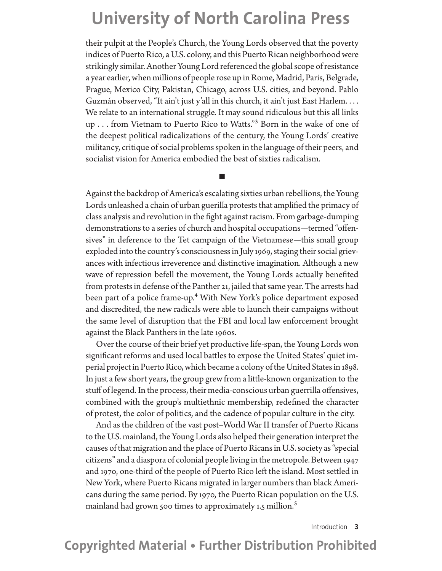their pulpit at the People's Church, the Young Lords observed that the poverty indices of Puerto Rico, a U.S. colony, and this Puerto Rican neighborhood were strikingly similar. Another Young Lord referenced the global scope of resistance a year earlier, when millions of people rose up in Rome, Madrid, Paris, Belgrade, Prague, Mexico City, Pakistan, Chicago, across U.S. cities, and beyond. Pablo Guzmán observed, "It ain't just y'all in this church, it ain't just East Harlem. . . . We relate to an international struggle. It may sound ridiculous but this all links up . . . from Vietnam to Puerto Rico to Watts."<sup>3</sup> Born in the wake of one of the deepest political radicalizations of the century, the Young Lords' creative militancy, critique of social problems spoken in the language of their peers, and socialist vision for America embodied the best of sixties radicalism.

#### Q

Against the backdrop of America's escalating sixties urban rebellions, the Young Lords unleashed a chain of urban guerilla protests that amplified the primacy of class analysis and revolution in the !ght against racism. From garbage-dumping demonstrations to a series of church and hospital occupations—termed "offensives" in deference to the Tet campaign of the Vietnamese—this small group exploded into the country's consciousness in July 1969, staging their social grievances with infectious irreverence and distinctive imagination. Although a new wave of repression befell the movement, the Young Lords actually benefited from protests in defense of the Panther 21, jailed that same year. The arrests had been part of a police frame-up.<sup>4</sup> With New York's police department exposed and discredited, the new radicals were able to launch their campaigns without the same level of disruption that the FBI and local law enforcement brought against the Black Panthers in the late 1960s.

Over the course of their brief yet productive life-span, the Young Lords won significant reforms and used local battles to expose the United States' quiet imperial project in Puerto Rico, which became a colony of the United States in 1898. In just a few short years, the group grew from a little-known organization to the stuff of legend. In the process, their media-conscious urban guerrilla offensives, combined with the group's multiethnic membership, redefined the character of protest, the color of politics, and the cadence of popular culture in the city.

And as the children of the vast post–World War II transfer of Puerto Ricans to the U.S. mainland, the Young Lords also helped their generation interpret the causes of that migration and the place of Puerto Ricans in U.S. society as "special citizens" and a diaspora of colonial people living in the metropole. Between 1947 and 1970, one-third of the people of Puerto Rico left the island. Most settled in New York, where Puerto Ricans migrated in larger numbers than black Americans during the same period. By 1970, the Puerto Rican population on the U.S. mainland had grown 500 times to approximately 1.5 million.<sup>5</sup>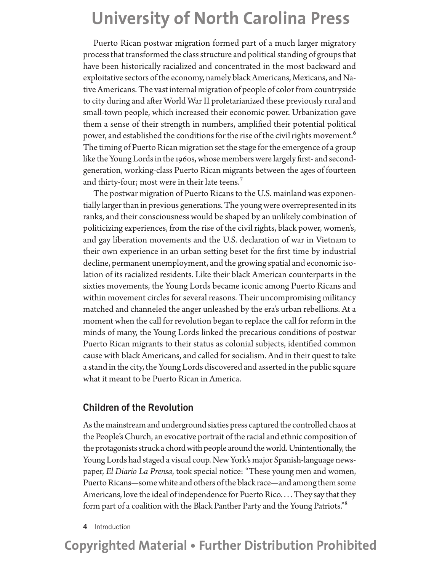Puerto Rican postwar migration formed part of a much larger migratory process that transformed the class structure and political standing of groups that have been historically racialized and concentrated in the most backward and exploitative sectors of the economy, namely black Americans, Mexicans, and Native Americans. The vast internal migration of people of color from countryside to city during and after World War II proletarianized these previously rural and small-town people, which increased their economic power. Urbanization gave them a sense of their strength in numbers, amplified their potential political power, and established the conditions for the rise of the civil rights movement.<sup>6</sup> The timing of Puerto Rican migration set the stage for the emergence of a group like the Young Lords in the 1960s, whose members were largely first- and secondgeneration, working-class Puerto Rican migrants between the ages of fourteen and thirty-four; most were in their late teens.<sup>7</sup>

The postwar migration of Puerto Ricans to the U.S. mainland was exponentially larger than in previous generations. The young were overrepresented in its ranks, and their consciousness would be shaped by an unlikely combination of politicizing experiences, from the rise of the civil rights, black power, women's, and gay liberation movements and the U.S. declaration of war in Vietnam to their own experience in an urban setting beset for the first time by industrial decline, permanent unemployment, and the growing spatial and economic isolation of its racialized residents. Like their black American counterparts in the sixties movements, the Young Lords became iconic among Puerto Ricans and within movement circles for several reasons. Their uncompromising militancy matched and channeled the anger unleashed by the era's urban rebellions. At a moment when the call for revolution began to replace the call for reform in the minds of many, the Young Lords linked the precarious conditions of postwar Puerto Rican migrants to their status as colonial subjects, identified common cause with black Americans, and called for socialism. And in their quest to take a stand in the city, the Young Lords discovered and asserted in the public square what it meant to be Puerto Rican in America.

### Children of the Revolution

As the mainstream and underground sixties press captured the controlled chaos at the People's Church, an evocative portrait of the racial and ethnic composition of the protagonists struck a chord with people around the world. Unintentionally, the Young Lords had staged a visual coup. New York's major Spanish-language newspaper, *El Diario La Prensa*, took special notice: "These young men and women, Puerto Ricans—some white and others of the black race—and among them some Americans, love the ideal of independence for Puerto Rico. . . . They say that they form part of a coalition with the Black Panther Party and the Young Patriots."8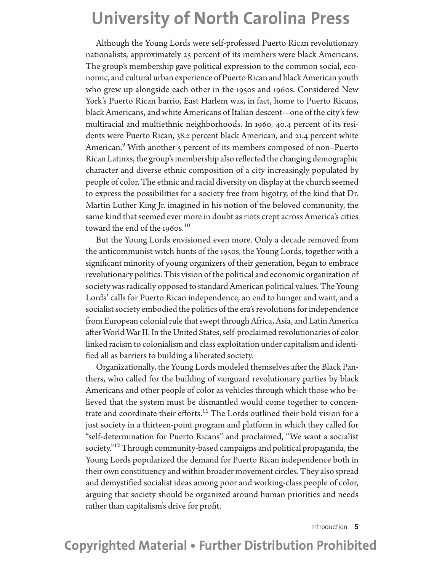Although the Young Lords were self-professed Puerto Rican revolutionary nationalists, approximately 25 percent of its members were black Americans. The group's membership gave political expression to the common social, economic, and cultural urban experience of Puerto Rican and black American youth who grew up alongside each other in the 1950s and 1960s. Considered New York's Puerto Rican barrio, East Harlem was, in fact, home to Puerto Ricans, black Americans, and white Americans of Italian descent—one of the city's few multiracial and multiethnic neighborhoods. In 1960, 40.4 percent of its residents were Puerto Rican, 38.2 percent black American, and 21.4 percent white American.<sup>9</sup> With another 5 percent of its members composed of non–Puerto Rican Latinxs, the group's membership also reflected the changing demographic character and diverse ethnic composition of a city increasingly populated by people of color. The ethnic and racial diversity on display at the church seemed to express the possibilities for a society free from bigotry, of the kind that Dr. Martin Luther King Jr. imagined in his notion of the beloved community, the same kind that seemed ever more in doubt as riots crept across America's cities toward the end of the 1960s.<sup>10</sup>

But the Young Lords envisioned even more. Only a decade removed from the anticommunist witch hunts of the 1950s, the Young Lords, together with a significant minority of young organizers of their generation, began to embrace revolutionary politics. This vision of the political and economic organization of society was radically opposed to standard American political values. The Young Lords' calls for Puerto Rican independence, an end to hunger and want, and a socialist society embodied the politics of the era's revolutions for independence from European colonial rule that swept through Africa, Asia, and Latin America after World War II. In the United States, self-proclaimed revolutionaries of color linked racism to colonialism and class exploitation under capitalism and identi fied all as barriers to building a liberated society.

Organizationally, the Young Lords modeled themselves after the Black Panthers, who called for the building of vanguard revolutionary parties by black Americans and other people of color as vehicles through which those who believed that the system must be dismantled would come together to concentrate and coordinate their efforts.<sup>11</sup> The Lords outlined their bold vision for a just society in a thirteen-point program and platform in which they called for "self-determination for Puerto Ricans" and proclaimed, "We want a socialist society."<sup>12</sup> Through community-based campaigns and political propaganda, the Young Lords popularized the demand for Puerto Rican independence both in their own constituency and within broader movement circles. They also spread and demystified socialist ideas among poor and working-class people of color, arguing that society should be organized around human priorities and needs rather than capitalism's drive for profit.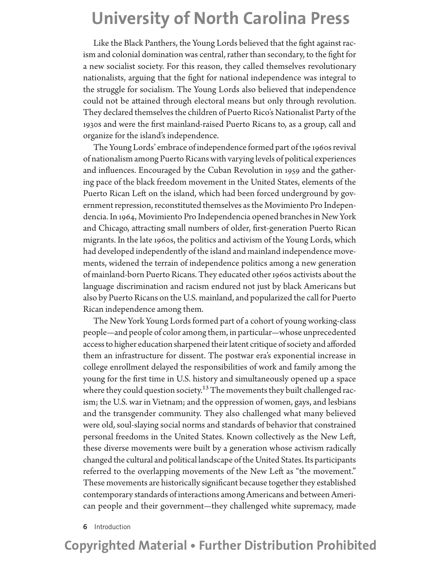Like the Black Panthers, the Young Lords believed that the fight against racism and colonial domination was central, rather than secondary, to the fight for a new socialist society. For this reason, they called themselves revolutionary nationalists, arguing that the fight for national independence was integral to the struggle for socialism. The Young Lords also believed that independence could not be attained through electoral means but only through revolution. They declared themselves the children of Puerto Rico's Nationalist Party of the 1930s and were the first mainland-raised Puerto Ricans to, as a group, call and organize for the island's independence.

The Young Lords' embrace of independence formed part of the 1960s revival of nationalism among Puerto Ricans with varying levels of political experiences and influences. Encouraged by the Cuban Revolution in 1959 and the gathering pace of the black freedom movement in the United States, elements of the Puerto Rican Left on the island, which had been forced underground by government repression, reconstituted themselves as the Movimiento Pro Independencia. In 1964, Movimiento Pro Independencia opened branches in New York and Chicago, attracting small numbers of older, first-generation Puerto Rican migrants. In the late 1960s, the politics and activism of the Young Lords, which had developed independently of the island and mainland independence movements, widened the terrain of independence politics among a new generation of mainland-born Puerto Ricans. They educated other 1960s activists about the language discrimination and racism endured not just by black Americans but also by Puerto Ricans on the U.S. mainland, and popularized the call for Puerto Rican independence among them.

The New York Young Lords formed part of a cohort of young working-class people—and people of color among them, in particular—whose unprecedented access to higher education sharpened their latent critique of society and afforded them an infrastructure for dissent. The postwar era's exponential increase in college enrollment delayed the responsibilities of work and family among the young for the first time in U.S. history and simultaneously opened up a space where they could question society.<sup>13</sup> The movements they built challenged racism; the U.S. war in Vietnam; and the oppression of women, gays, and lesbians and the transgender community. They also challenged what many believed were old, soul-slaying social norms and standards of behavior that constrained personal freedoms in the United States. Known collectively as the New Left, these diverse movements were built by a generation whose activism radically changed the cultural and political landscape of the United States. Its participants referred to the overlapping movements of the New Left as "the movement." These movements are historically significant because together they established contemporary standards of interactions among Americans and between American people and their government—they challenged white supremacy, made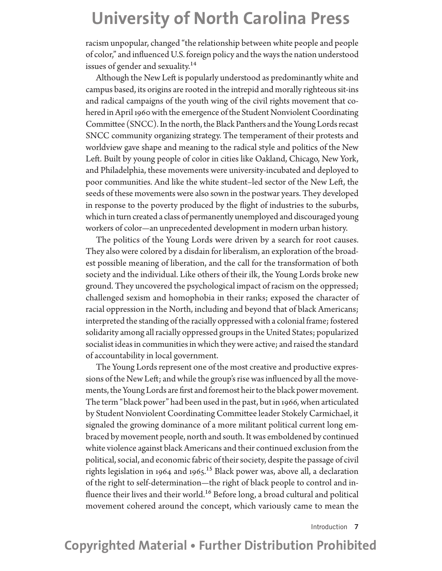racism unpopular, changed "the relationship between white people and people of color," and influenced U.S. foreign policy and the ways the nation understood issues of gender and sexuality.<sup>14</sup>

Although the New Left is popularly understood as predominantly white and campus based, its origins are rooted in the intrepid and morally righteous sit-ins and radical campaigns of the youth wing of the civil rights movement that cohered in April 1960 with the emergence of the Student Nonviolent Coordinating Committee (SNCC). In the north, the Black Panthers and the Young Lords recast SNCC community organizing strategy. The temperament of their protests and worldview gave shape and meaning to the radical style and politics of the New Left. Built by young people of color in cities like Oakland, Chicago, New York, and Philadelphia, these movements were university-incubated and deployed to poor communities. And like the white student–led sector of the New Left, the seeds of these movements were also sown in the postwar years. They developed in response to the poverty produced by the 9ight of industries to the suburbs, which in turn created a class of permanently unemployed and discouraged young workers of color—an unprecedented development in modern urban history.

The politics of the Young Lords were driven by a search for root causes. They also were colored by a disdain for liberalism, an exploration of the broadest possible meaning of liberation, and the call for the transformation of both society and the individual. Like others of their ilk, the Young Lords broke new ground. They uncovered the psychological impact of racism on the oppressed; challenged sexism and homophobia in their ranks; exposed the character of racial oppression in the North, including and beyond that of black Americans; interpreted the standing of the racially oppressed with a colonial frame; fostered solidarity among all racially oppressed groups in the United States; popularized socialist ideas in communities in which they were active; and raised the standard of accountability in local government.

The Young Lords represent one of the most creative and productive expressions of the New Left; and while the group's rise was influenced by all the movements, the Young Lords are first and foremost heir to the black power movement. The term "black power" had been used in the past, but in 1966, when articulated by Student Nonviolent Coordinating Committee leader Stokely Carmichael, it signaled the growing dominance of a more militant political current long embraced by movement people, north and south. It was emboldened by continued white violence against black Americans and their continued exclusion from the political, social, and economic fabric of their society, despite the passage of civil rights legislation in 1964 and 1965.<sup>15</sup> Black power was, above all, a declaration of the right to self-determination—the right of black people to control and influence their lives and their world.<sup>16</sup> Before long, a broad cultural and political movement cohered around the concept, which variously came to mean the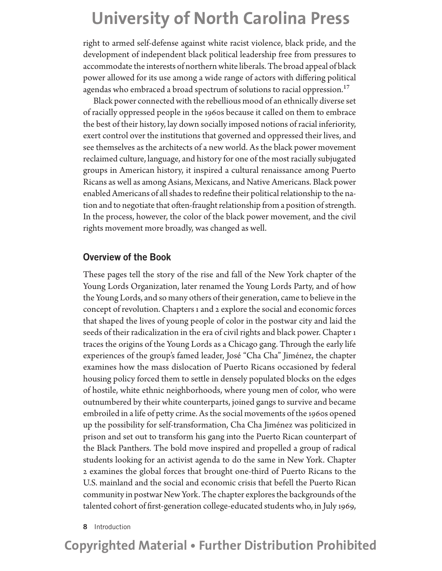right to armed self-defense against white racist violence, black pride, and the development of independent black political leadership free from pressures to accommodate the interests of northern white liberals. The broad appeal of black power allowed for its use among a wide range of actors with differing political agendas who embraced a broad spectrum of solutions to racial oppression.<sup>17</sup>

Black power connected with the rebellious mood of an ethnically diverse set of racially oppressed people in the 1960s because it called on them to embrace the best of their history, lay down socially imposed notions of racial inferiority, exert control over the institutions that governed and oppressed their lives, and see themselves as the architects of a new world. As the black power movement reclaimed culture, language, and history for one of the most racially subjugated groups in American history, it inspired a cultural renaissance among Puerto Ricans as well as among Asians, Mexicans, and Native Americans. Black power enabled Americans of all shades to redefine their political relationship to the nation and to negotiate that often-fraught relationship from a position of strength. In the process, however, the color of the black power movement, and the civil rights movement more broadly, was changed as well.

### Overview of the Book

These pages tell the story of the rise and fall of the New York chapter of the Young Lords Organization, later renamed the Young Lords Party, and of how the Young Lords, and so many others of their generation, came to believe in the concept of revolution. Chapters 1 and 2 explore the social and economic forces that shaped the lives of young people of color in the postwar city and laid the seeds of their radicalization in the era of civil rights and black power. Chapter 1 traces the origins of the Young Lords as a Chicago gang. Through the early life experiences of the group's famed leader, José "Cha Cha" Jiménez, the chapter examines how the mass dislocation of Puerto Ricans occasioned by federal housing policy forced them to settle in densely populated blocks on the edges of hostile, white ethnic neighborhoods, where young men of color, who were outnumbered by their white counterparts, joined gangs to survive and became embroiled in a life of petty crime. As the social movements of the 1960s opened up the possibility for self-transformation, Cha Cha Jiménez was politicized in prison and set out to transform his gang into the Puerto Rican counterpart of the Black Panthers. The bold move inspired and propelled a group of radical students looking for an activist agenda to do the same in New York. Chapter 2 examines the global forces that brought one-third of Puerto Ricans to the U.S. mainland and the social and economic crisis that befell the Puerto Rican community in postwar New York. The chapter explores the backgrounds of the talented cohort of first-generation college-educated students who, in July 1969,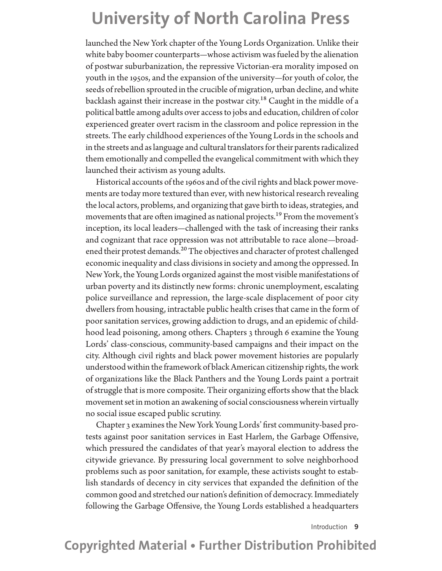launched the New York chapter of the Young Lords Organization. Unlike their white baby boomer counterparts—whose activism was fueled by the alienation of postwar suburbanization, the repressive Victorian-era morality imposed on youth in the 1950s, and the expansion of the university—for youth of color, the seeds of rebellion sprouted in the crucible of migration, urban decline, and white backlash against their increase in the postwar city.<sup>18</sup> Caught in the middle of a political battle among adults over access to jobs and education, children of color experienced greater overt racism in the classroom and police repression in the streets. The early childhood experiences of the Young Lords in the schools and in the streets and as language and cultural translators for their parents radicalized them emotionally and compelled the evangelical commitment with which they launched their activism as young adults.

Historical accounts of the 1960s and of the civil rights and black power movements are today more textured than ever, with new historical research revealing the local actors, problems, and organizing that gave birth to ideas, strategies, and movements that are often imagined as national projects.<sup>19</sup> From the movement's inception, its local leaders—challenged with the task of increasing their ranks and cognizant that race oppression was not attributable to race alone—broadened their protest demands.<sup>20</sup> The objectives and character of protest challenged economic inequality and class divisions in society and among the oppressed. In New York, the Young Lords organized against the most visible manifestations of urban poverty and its distinctly new forms: chronic unemployment, escalating police surveillance and repression, the large-scale displacement of poor city dwellers from housing, intractable public health crises that came in the form of poor sanitation services, growing addiction to drugs, and an epidemic of childhood lead poisoning, among others. Chapters 3 through 6 examine the Young Lords' class-conscious, community-based campaigns and their impact on the city. Although civil rights and black power movement histories are popularly understood within the framework of black American citizenship rights, the work of organizations like the Black Panthers and the Young Lords paint a portrait of struggle that is more composite. Their organizing efforts show that the black movement set in motion an awakening of social consciousness wherein virtually no social issue escaped public scrutiny.

Chapter 3 examines the New York Young Lords' first community-based protests against poor sanitation services in East Harlem, the Garbage Offensive, which pressured the candidates of that year's mayoral election to address the citywide grievance. By pressuring local government to solve neighborhood problems such as poor sanitation, for example, these activists sought to establish standards of decency in city services that expanded the definition of the common good and stretched our nation's definition of democracy. Immediately following the Garbage Offensive, the Young Lords established a headquarters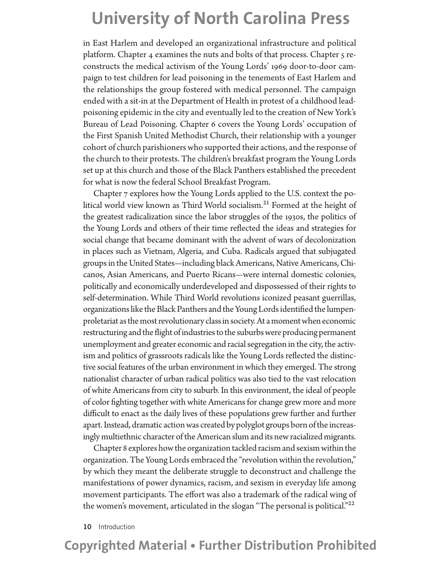in East Harlem and developed an organizational infrastructure and political platform. Chapter 4 examines the nuts and bolts of that process. Chapter 5 reconstructs the medical activism of the Young Lords' 1969 door-to-door campaign to test children for lead poisoning in the tenements of East Harlem and the relationships the group fostered with medical personnel. The campaign ended with a sit-in at the Department of Health in protest of a childhood leadpoisoning epidemic in the city and eventually led to the creation of New York's Bureau of Lead Poisoning. Chapter 6 covers the Young Lords' occupation of the First Spanish United Methodist Church, their relationship with a younger cohort of church parishioners who supported their actions, and the response of the church to their protests. The children's breakfast program the Young Lords set up at this church and those of the Black Panthers established the precedent for what is now the federal School Breakfast Program.

Chapter 7 explores how the Young Lords applied to the U.S. context the political world view known as Third World socialism.<sup>21</sup> Formed at the height of the greatest radicalization since the labor struggles of the 1930s, the politics of the Young Lords and others of their time reflected the ideas and strategies for social change that became dominant with the advent of wars of decolonization in places such as Vietnam, Algeria, and Cuba. Radicals argued that subjugated groups in the United States—including black Americans, Native Americans, Chicanos, Asian Americans, and Puerto Ricans—were internal domestic colonies, politically and economically underdeveloped and dispossessed of their rights to self-determination. While Third World revolutions iconized peasant guerrillas, organizations like the Black Panthers and the Young Lords identified the lumpenproletariat as the most revolutionary class in society. At a moment when economic restructuring and the flight of industries to the suburbs were producing permanent unemployment and greater economic and racial segregation in the city, the activism and politics of grassroots radicals like the Young Lords reflected the distinctive social features of the urban environment in which they emerged. The strong nationalist character of urban radical politics was also tied to the vast relocation of white Americans from city to suburb. In this environment, the ideal of people of color fighting together with white Americans for change grew more and more difficult to enact as the daily lives of these populations grew further and further apart. Instead, dramatic action was created by polyglot groups born of the increasingly multiethnic character of the American slum and its new racialized migrants.

Chapter 8 explores how the organization tackled racism and sexism within the organization. The Young Lords embraced the "revolution within the revolution," by which they meant the deliberate struggle to deconstruct and challenge the manifestations of power dynamics, racism, and sexism in everyday life among movement participants. The effort was also a trademark of the radical wing of the women's movement, articulated in the slogan "The personal is political."<sup>22</sup>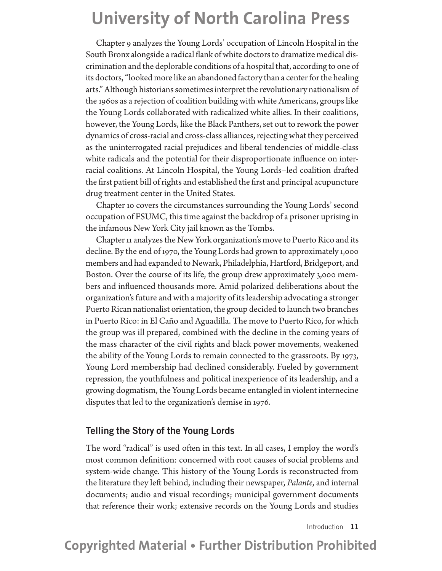Chapter 9 analyzes the Young Lords' occupation of Lincoln Hospital in the South Bronx alongside a radical flank of white doctors to dramatize medical discrimination and the deplorable conditions of a hospital that, according to one of its doctors, "looked more like an abandoned factory than a center for the healing arts." Although historians sometimes interpret the revolutionary nationalism of the 1960s as a rejection of coalition building with white Americans, groups like the Young Lords collaborated with radicalized white allies. In their coalitions, however, the Young Lords, like the Black Panthers, set out to rework the power dynamics of cross-racial and cross-class alliances, rejecting what they perceived as the uninterrogated racial prejudices and liberal tendencies of middle-class white radicals and the potential for their disproportionate influence on interracial coalitions. At Lincoln Hospital, the Young Lords–led coalition drafted the first patient bill of rights and established the first and principal acupuncture drug treatment center in the United States.

Chapter 10 covers the circumstances surrounding the Young Lords' second occupation of FSUMC, this time against the backdrop of a prisoner uprising in the infamous New York City jail known as the Tombs.

Chapter 11 analyzes the New York organization's move to Puerto Rico and its decline. By the end of 1970, the Young Lords had grown to approximately 1,000 members and had expanded to Newark, Philadelphia, Hartford, Bridgeport, and Boston. Over the course of its life, the group drew approximately 3,000 members and influenced thousands more. Amid polarized deliberations about the organization's future and with a majority of its leadership advocating a stronger Puerto Rican nationalist orientation, the group decided to launch two branches in Puerto Rico: in El Caño and Aguadilla. The move to Puerto Rico, for which the group was ill prepared, combined with the decline in the coming years of the mass character of the civil rights and black power movements, weakened the ability of the Young Lords to remain connected to the grassroots. By 1973, Young Lord membership had declined considerably. Fueled by government repression, the youthfulness and political inexperience of its leadership, and a growing dogmatism, the Young Lords became entangled in violent internecine disputes that led to the organization's demise in 1976.

### Telling the Story of the Young Lords

The word "radical" is used often in this text. In all cases, I employ the word's most common definition: concerned with root causes of social problems and system-wide change. This history of the Young Lords is reconstructed from the literature they left behind, including their newspaper, *Palante*, and internal documents; audio and visual recordings; municipal government documents that reference their work; extensive records on the Young Lords and studies

Introduction 11

**Copyrighted Material • Further Distribution Prohibited**